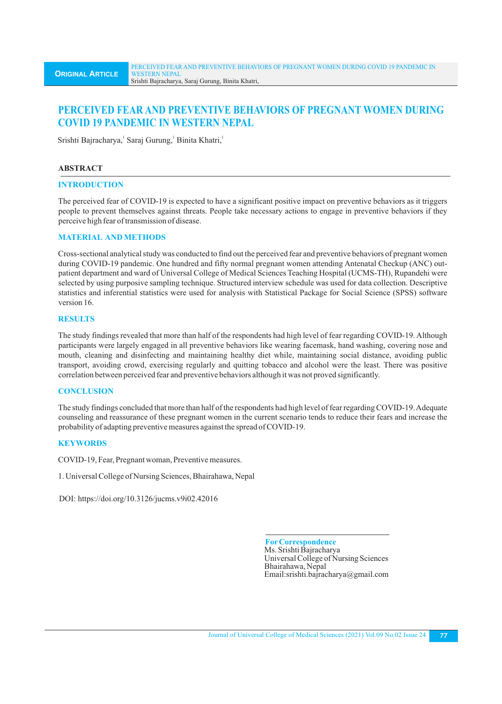# **PERCEIVED FEAR AND PREVENTIVE BEHAVIORS OF PREGNANT WOMEN DURING COVID 19 PANDEMIC IN WESTERN NEPAL**

Srishti Bajracharya, Saraj Gurung, Binita Khatri,

## **ABSTRACT**

#### **INTRODUCTION**

The perceived fear of COVID-19 is expected to have a significant positive impact on preventive behaviors as it triggers people to prevent themselves against threats. People take necessary actions to engage in preventive behaviors if they perceive high fear of transmission of disease.

## **MATERIAL AND METHODS**

Cross-sectional analytical study was conducted to find out the perceived fear and preventive behaviors of pregnant women during COVID-19 pandemic. One hundred and fifty normal pregnant women attending Antenatal Checkup (ANC) outpatient department and ward of Universal College of Medical Sciences Teaching Hospital (UCMS-TH), Rupandehi were selected by using purposive sampling technique. Structured interview schedule was used for data collection. Descriptive statistics and inferential statistics were used for analysis with Statistical Package for Social Science (SPSS) software version 16.

## **RESULTS**

The study findings revealed that more than half of the respondents had high level of fear regarding COVID-19. Although participants were largely engaged in all preventive behaviors like wearing facemask, hand washing, covering nose and mouth, cleaning and disinfecting and maintaining healthy diet while, maintaining social distance, avoiding public transport, avoiding crowd, exercising regularly and quitting tobacco and alcohol were the least. There was positive correlation between perceived fear and preventive behaviors although it was not proved significantly.

#### **CONCLUSION**

The study findings concluded that more than half of the respondents had high level of fear regarding COVID-19. Adequate counseling and reassurance of these pregnant women in the current scenario tends to reduce their fears and increase the probability of adapting preventive measures against the spread of COVID-19.

# **KEYWORDS**

COVID-19, Fear, Pregnant woman, Preventive measures.

1. Universal College of Nursing Sciences, Bhairahawa, Nepal

DOI: https://doi.org/10.3126/jucms.v9i02.42016

 **ForCorrespondence** Ms. Srishti Bajracharya Universal College of Nursing Sciences Bhairahawa, Nepal Email:srishti.bajracharya@gmail.com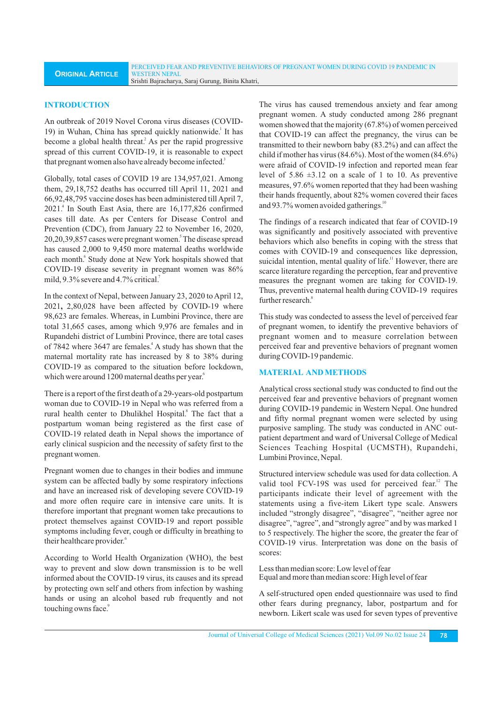#### **INTRODUCTION**

An outbreak of 2019 Novel Corona virus diseases (COVID-19) in Wuhan, China has spread quickly nationwide.<sup>1</sup> It has become a global health threat.<sup>2</sup> As per the rapid progressive spread of this current COVID-19, it is reasonable to expect that pregnant women also have already become infected.<sup>3</sup>

Globally, total cases of COVID 19 are 134,957,021. Among them, 29,18,752 deaths has occurred till April 11, 2021 and 66,92,48,795 vaccine doses has been administered till April 7, 2021.<sup>4</sup> In South East Asia, there are 16,177,826 confirmed cases till date. As per Centers for Disease Control and Prevention (CDC), from January 22 to November 16, 2020, 20,20,39,857 cases were pregnant women.<sup>5</sup> The disease spread has caused 2,000 to 9,450 more maternal deaths worldwide each month.<sup>6</sup> Study done at New York hospitals showed that COVID-19 disease severity in pregnant women was 86% mild,  $9.3\%$  severe and  $4.7\%$  critical.

In the context of Nepal, between January 23, 2020 to April 12, 2021**,** 2,80,028 have been affected by COVID-19 where 98,623 are females. Whereas, in Lumbini Province, there are total 31,665 cases, among which 9,976 are females and in Rupandehi district of Lumbini Province, there are total cases of 7842 where 3647 are females.<sup>4</sup> A study has shown that the maternal mortality rate has increased by 8 to 38% during COVID-19 as compared to the situation before lockdown, which were around 1200 maternal deaths per year.<sup>6</sup>

There is a report of the first death of a 29-years-old postpartum woman due to COVID-19 in Nepal who was referred from a rural health center to Dhulikhel Hospital.<sup>8</sup> The fact that a postpartum woman being registered as the first case of COVID-19 related death in Nepal shows the importance of early clinical suspicion and the necessity of safety first to the pregnant women. 8

Pregnant women due to changes in their bodies and immune system can be affected badly by some respiratory infections and have an increased risk of developing severe COVID-19 and more often require care in intensive care units. It is therefore important that pregnant women take precautions to protect themselves against COVID-19 and report possible symptoms including fever, cough or difficulty in breathing to their healthcare provider.<sup>6</sup>

According to World Health Organization (WHO), the best way to prevent and slow down transmission is to be well informed about the COVID-19 virus, its causes and its spread by protecting own self and others from infection by washing hands or using an alcohol based rub frequently and not touching owns face.<sup>9</sup>

The virus has caused tremendous anxiety and fear among pregnant women. A study conducted among 286 pregnant women showed that the majority (67.8%) of women perceived that COVID-19 can affect the pregnancy, the virus can be transmitted to their newborn baby (83.2%) and can affect the child if mother has virus (84.6%). Most of the women (84.6%) were afraid of COVID-19 infection and reported mean fear level of 5.86 ±3.12 on a scale of 1 to 10. As preventive measures, 97.6% women reported that they had been washing their hands frequently, about 82% women covered their faces and 93.7% women avoided gatherings.<sup>10</sup>

The findings of a research indicated that fear of COVID-19 was significantly and positively associated with preventive behaviors which also benefits in coping with the stress that comes with COVID-19 and consequences like depression, suicidal intention, mental quality of life.<sup>11</sup> However, there are scarce literature regarding the perception, fear and preventive measures the pregnant women are taking for COVID-19. Thus, preventive maternal health during COVID-19 requires further research.<sup>8</sup>

This study was condected to assess the level of perceived fear of pregnant women, to identify the preventive behaviors of pregnant women and to measure correlation between perceived fear and preventive behaviors of pregnant women during COVID-19 pandemic.

#### **MATERIAL AND METHODS**

Analytical cross sectional study was conducted to find out the perceived fear and preventive behaviors of pregnant women during COVID-19 pandemic in Western Nepal. One hundred and fifty normal pregnant women were selected by using purposive sampling. The study was conducted in ANC outpatient department and ward of Universal College of Medical Sciences Teaching Hospital (UCMSTH), Rupandehi, Lumbini Province, Nepal.

Structured interview schedule was used for data collection. A valid tool FCV-19S was used for perceived fear.<sup>12</sup> The participants indicate their level of agreement with the statements using a five-item Likert type scale. Answers included "strongly disagree", "disagree", "neither agree nor disagree", "agree", and "strongly agree" and by was marked 1 to 5 respectively. The higher the score, the greater the fear of COVID-19 virus. Interpretation was done on the basis of scores:

Less than median score: Low level of fear Equal and more than median score: High level of fear

A self-structured open ended questionnaire was used to find other fears during pregnancy, labor, postpartum and for newborn. Likert scale was used for seven types of preventive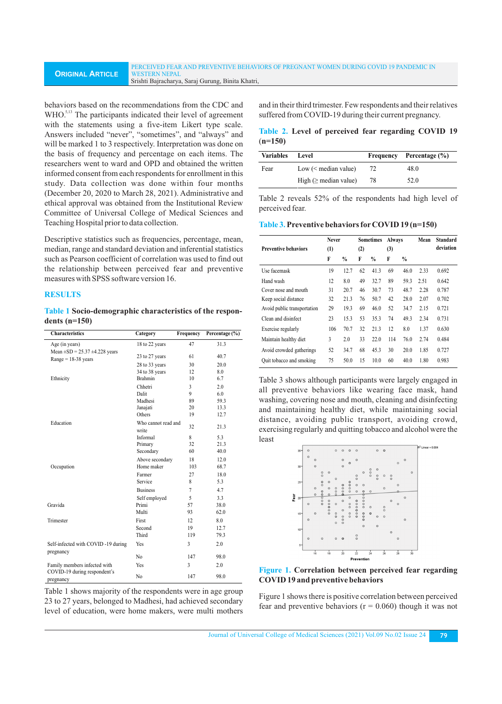behaviors based on the recommendations from the CDC and WHO.<sup>5,13</sup> The participants indicated their level of agreement with the statements using a five-item Likert type scale. Answers included "never", "sometimes", and "always" and will be marked 1 to 3 respectively. Interpretation was done on the basis of frequency and percentage on each items. The researchers went to ward and OPD and obtained the written informed consent from each respondents for enrollment in this study. Data collection was done within four months (December 20, 2020 to March 28, 2021). Administrative and ethical approval was obtained from the Institutional Review Committee of Universal College of Medical Sciences and Teaching Hospital prior to data collection.

Descriptive statistics such as frequencies, percentage, mean, median, range and standard deviation and inferential statistics such as Pearson coefficient of correlation was used to find out the relationship between perceived fear and preventive measures with SPSS software version 16.

## **RESULTS**

**Table 1 Socio-demographic characteristics of the respondents (n=150)**

| <b>Characteristics</b>                                         | Category                     | Frequency      | Percentage (%) |  |
|----------------------------------------------------------------|------------------------------|----------------|----------------|--|
| Age (in years)                                                 | 18 to 22 years               | 47             | 31.3           |  |
| Mean $\pm SD = 25.37 \pm 4.228$ years<br>$Range = 18-38$ years | 23 to 27 years               | 61             | 40.7           |  |
|                                                                | 28 to 33 years               | 30             | 20.0           |  |
|                                                                | 34 to 38 years               | 12             | 8.0            |  |
| Ethnicity                                                      | <b>Brahmin</b>               | 10             | 6.7            |  |
|                                                                | Chhetri                      | 3              | 2.0            |  |
|                                                                | Dalit                        | 9              | 6.0            |  |
|                                                                | Madhesi                      | 89             | 59.3           |  |
|                                                                | Janajati                     | 20             | 13.3           |  |
|                                                                | Others                       | 19             | 12.7           |  |
| Education                                                      | Who cannot read and<br>write | 32             | 21.3           |  |
|                                                                | Informal                     | 8              | 5.3            |  |
|                                                                | Primary                      | 32             | 21.3           |  |
|                                                                | Secondary                    | 60             | 40.0           |  |
|                                                                | Above secondary              | 18             | 12.0           |  |
| Occupation                                                     | Home maker                   | 103            | 68.7           |  |
|                                                                | Farmer                       | 27             | 18.0           |  |
|                                                                | Service                      | 8              | 5.3            |  |
|                                                                | <b>Business</b>              | $\overline{7}$ | 4.7            |  |
|                                                                | Self employed                | 5              | 3.3            |  |
| Gravida                                                        | Primi                        | 57             | 38.0           |  |
|                                                                | Multi                        | 93             | 62.0           |  |
| Trimester                                                      | First                        | 12             | 8.0            |  |
|                                                                | Second                       | 19             | 12.7           |  |
|                                                                | Third                        | 119            | 79.3           |  |
| Self-infected with COVID-19 during                             | Yes                          | 3              | 2.0            |  |
| pregnancy                                                      | N <sub>0</sub>               | 147            | 98.0           |  |
| Family members infected with                                   | Yes                          | 3              | 2.0            |  |
| COVID-19 during respondent's<br>pregnancy                      | No                           | 147            | 98.0           |  |

Table 1 shows majority of the respondents were in age group 23 to 27 years, belonged to Madhesi, had achieved secondary level of education, were home makers, were multi mothers

and in their third trimester. Few respondents and their relatives suffered from COVID-19 during their current pregnancy.

**Table 2. Level of perceived fear regarding COVID 19** (**n=150)**

| <b>Variables</b> | Level                       |    | Frequency Percentage (%) |
|------------------|-----------------------------|----|--------------------------|
| Fear             | Low $(<$ median value)      | 72 | 48.0                     |
|                  | High ( $\geq$ median value) | 78 | 52.0                     |

Table 2 reveals 52% of the respondents had high level of perceived fear.

**Table 3.Preventive behaviors forCOVID 19 (n=150)**

|                             | <b>Never</b> |               | <b>Sometimes</b> |               | Always |               | Mean | Standard  |
|-----------------------------|--------------|---------------|------------------|---------------|--------|---------------|------|-----------|
| <b>Preventive behaviors</b> | (1)          |               | (2)              |               | (3)    |               |      | deviation |
|                             | F            | $\frac{0}{0}$ | F                | $\frac{0}{0}$ | F      | $\frac{0}{0}$ |      |           |
| Use facemask                | 19           | 12.7          | 62               | 41.3          | 69     | 46.0          | 2.33 | 0.692     |
| Hand wash                   | 12           | 8.0           | 49               | 32.7          | 89     | 59.3          | 2.51 | 0.642     |
| Cover nose and mouth        | 31           | 20.7          | 46               | 30.7          | 73     | 48.7          | 2.28 | 0.787     |
| Keep social distance        | 32           | 21.3          | 76               | 50.7          | 42     | 28.0          | 2.07 | 0.702     |
| Avoid public transportation | 29           | 19.3          | 69               | 46.0          | 52     | 34.7          | 2.15 | 0.721     |
| Clean and disinfect         | 23           | 15.3          | 53               | 35.3          | 74     | 49.3          | 2.34 | 0.731     |
| Exercise regularly          | 106          | 70.7          | 32               | 21.3          | 12     | 8.0           | 1.37 | 0.630     |
| Maintain healthy diet       | 3            | 2.0           | 33               | 22.0          | 114    | 76.0          | 2.74 | 0.484     |
| Avoid crowded gatherings    | 52           | 34.7          | 68               | 45.3          | 30     | 20.0          | 1.85 | 0.727     |
| Quit tobacco and smoking    | 75           | 50.0          | 15               | 10.0          | 60     | 40.0          | 1.80 | 0.983     |

Table 3 shows although participants were largely engaged in all preventive behaviors like wearing face mask, hand washing, covering nose and mouth, cleaning and disinfecting and maintaining healthy diet, while maintaining social distance, avoiding public transport, avoiding crowd, exercising regularly and quitting tobacco and alcohol were the least





Figure 1 shows there is positive correlation between perceived fear and preventive behaviors ( $r = 0.060$ ) though it was not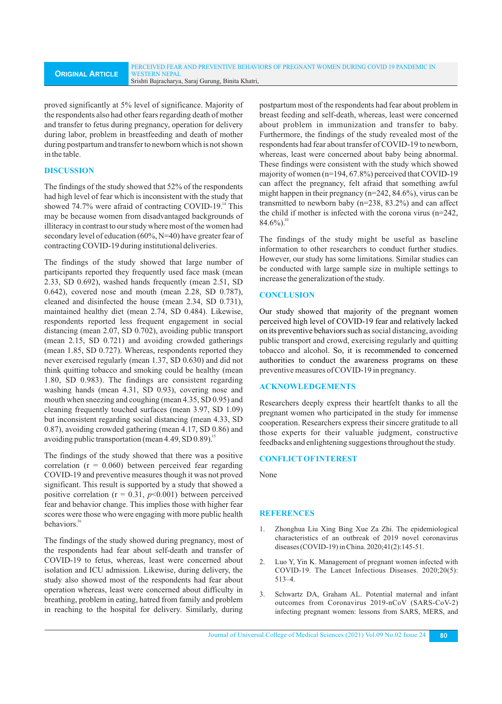proved significantly at 5% level of significance. Majority of the respondents also had other fears regarding death of mother and transfer to fetus during pregnancy, operation for delivery during labor, problem in breastfeeding and death of mother during postpartum and transfer to newborn which is not shown in the table.

# **DISCUSSION**

The findings of the study showed that 52% of the respondents had high level of fear which is inconsistent with the study that showed 74.7% were afraid of contracting COVID-19. $\rm{^{14}}$  This may be because women from disadvantaged backgrounds of illiteracy in contrast to our study where most of the women had secondary level of education (60%, N=40) have greater fear of contracting COVID-19 during institutional deliveries.

The findings of the study showed that large number of participants reported they frequently used face mask (mean 2.33, SD 0.692), washed hands frequently (mean 2.51, SD 0.642), covered nose and mouth (mean 2.28, SD 0.787), cleaned and disinfected the house (mean 2.34, SD 0.731), maintained healthy diet (mean 2.74, SD 0.484). Likewise, respondents reported less frequent engagement in social distancing (mean 2.07, SD 0.702), avoiding public transport (mean 2.15, SD 0.721) and avoiding crowded gatherings (mean 1.85, SD 0.727). Whereas, respondents reported they never exercised regularly (mean 1.37, SD 0.630) and did not think quitting tobacco and smoking could be healthy (mean 1.80, SD 0.983). The findings are consistent regarding washing hands (mean 4.31, SD 0.93), covering nose and mouth when sneezing and coughing (mean 4.35, SD 0.95) and cleaning frequently touched surfaces (mean 3.97, SD 1.09) but inconsistent regarding social distancing (mean 4.33, SD 0.87), avoiding crowded gathering (mean 4.17, SD 0.86) and avoiding public transportation (mean  $4.49$ , SD  $0.89$ ).<sup>15</sup>

The findings of the study showed that there was a positive correlation  $(r = 0.060)$  between perceived fear regarding COVID-19 and preventive measures though it was not proved significant. This result is supported by a study that showed a positive correlation ( $r = 0.31$ ,  $p \le 0.001$ ) between perceived fear and behavior change. This implies those with higher fear scores were those who were engaging with more public health behaviors.<sup>16</sup>

The findings of the study showed during pregnancy, most of the respondents had fear about self-death and transfer of COVID-19 to fetus, whereas, least were concerned about isolation and ICU admission. Likewise, during delivery, the study also showed most of the respondents had fear about operation whereas, least were concerned about difficulty in breathing, problem in eating, hatred from family and problem in reaching to the hospital for delivery. Similarly, during postpartum most of the respondents had fear about problem in breast feeding and self-death, whereas, least were concerned about problem in immunization and transfer to baby. Furthermore, the findings of the study revealed most of the respondents had fear about transfer of COVID-19 to newborn, whereas, least were concerned about baby being abnormal. These findings were consistent with the study which showed majority of women (n=194, 67.8%) perceived that COVID-19 can affect the pregnancy, felt afraid that something awful might happen in their pregnancy (n=242, 84.6%), virus can be transmitted to newborn baby (n=238, 83.2%) and can affect the child if mother is infected with the corona virus (n=242,  $84.6\%$ ).

The findings of the study might be useful as baseline information to other researchers to conduct further studies. However, our study has some limitations. Similar studies can be conducted with large sample size in multiple settings to increase the generalization of the study.

# **CONCLUSION**

Our study showed that majority of the pregnant women perceived high level of COVID-19 fear and relatively lacked on its preventive behaviors such as social distancing, avoiding public transport and crowd, exercising regularly and quitting tobacco and alcohol. So, it is recommended to concerned authorities to conduct the awareness programs on these preventive measures of COVID-19 in pregnancy.

# **ACKNOWLEDGEMENTS**

Researchers deeply express their heartfelt thanks to all the pregnant women who participated in the study for immense cooperation. Researchers express their sincere gratitude to all those experts for their valuable judgment, constructive feedbacks and enlightening suggestions throughout the study.

# **CONFLICTOFINTEREST**

None

# **REFERENCES**

- 1. Zhonghua Liu Xing Bing Xue Za Zhi. The epidemiological characteristics of an outbreak of 2019 novel coronavirus diseases (COVID-19) in China. 2020;41(2):145-51.
- 2. Luo Y, Yin K. Management of pregnant women infected with COVID-19. The Lancet Infectious Diseases. 2020;20(5): 513–4.
- 3. Schwartz DA, Graham AL. Potential maternal and infant outcomes from Coronavirus 2019-nCoV (SARS-CoV-2) infecting pregnant women: lessons from SARS, MERS, and